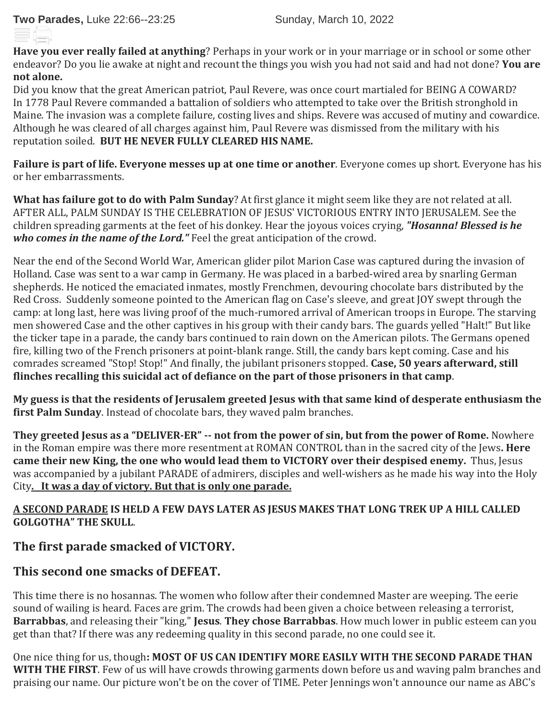**Have you ever really failed at anything**? Perhaps in your work or in your marriage or in school or some other endeavor? Do you lie awake at night and recount the things you wish you had not said and had not done? **You are not alone.**

Did you know that the great American patriot, Paul Revere, was once court martialed for BEING A COWARD? In 1778 Paul Revere commanded a battalion of soldiers who attempted to take over the British stronghold in Maine. The invasion was a complete failure, costing lives and ships. Revere was accused of mutiny and cowardice. Although he was cleared of all charges against him, Paul Revere was dismissed from the military with his reputation soiled. **BUT HE NEVER FULLY CLEARED HIS NAME.** 

**Failure is part of life. Everyone messes up at one time or another**. Everyone comes up short. Everyone has his or her embarrassments.

**What has failure got to do with Palm Sunday**? At first glance it might seem like they are not related at all. AFTER ALL, PALM SUNDAY IS THE CELEBRATION OF JESUS' VICTORIOUS ENTRY INTO JERUSALEM. See the children spreading garments at the feet of his donkey. Hear the joyous voices crying, *"Hosanna! Blessed is he who comes in the name of the Lord."* Feel the great anticipation of the crowd.

Near the end of the Second World War, American glider pilot Marion Case was captured during the invasion of Holland. Case was sent to a war camp in Germany. He was placed in a barbed-wired area by snarling German shepherds. He noticed the emaciated inmates, mostly Frenchmen, devouring chocolate bars distributed by the Red Cross. Suddenly someone pointed to the American flag on Case's sleeve, and great JOY swept through the camp: at long last, here was living proof of the much-rumored arrival of American troops in Europe. The starving men showered Case and the other captives in his group with their candy bars. The guards yelled "Halt!" But like the ticker tape in a parade, the candy bars continued to rain down on the American pilots. The Germans opened fire, killing two of the French prisoners at point-blank range. Still, the candy bars kept coming. Case and his comrades screamed "Stop! Stop!" And finally, the jubilant prisoners stopped. **Case, 50 years afterward, still flinches recalling this suicidal act of defiance on the part of those prisoners in that camp**.

**My guess is that the residents of Jerusalem greeted Jesus with that same kind of desperate enthusiasm the first Palm Sunday**. Instead of chocolate bars, they waved palm branches.

**They greeted Jesus as a "DELIVER-ER" -- not from the power of sin, but from the power of Rome.** Nowhere in the Roman empire was there more resentment at ROMAN CONTROL than in the sacred city of the Jews**. Here came their new King, the one who would lead them to VICTORY over their despised enemy.** Thus, Jesus was accompanied by a jubilant PARADE of admirers, disciples and well-wishers as he made his way into the Holy City**. It was a day of victory. But that is only one parade.**

### **A SECOND PARADE IS HELD A FEW DAYS LATER AS JESUS MAKES THAT LONG TREK UP A HILL CALLED GOLGOTHA" THE SKULL**.

## **The first parade smacked of VICTORY.**

# **This second one smacks of DEFEAT.**

This time there is no hosannas. The women who follow after their condemned Master are weeping. The eerie sound of wailing is heard. Faces are grim. The crowds had been given a choice between releasing a terrorist, **Barrabbas**, and releasing their "king," **Jesus**. **They chose Barrabbas**. How much lower in public esteem can you get than that? If there was any redeeming quality in this second parade, no one could see it.

One nice thing for us, though**: MOST OF US CAN IDENTIFY MORE EASILY WITH THE SECOND PARADE THAN WITH THE FIRST**. Few of us will have crowds throwing garments down before us and waving palm branches and praising our name. Our picture won't be on the cover of TIME. Peter Jennings won't announce our name as ABC's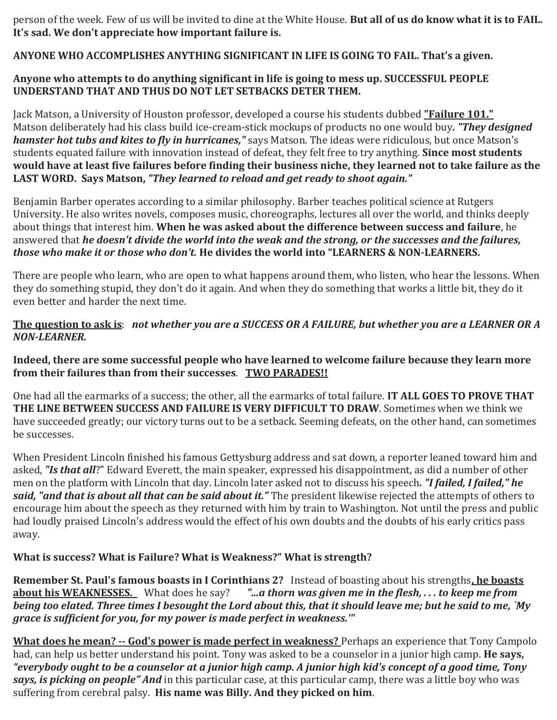person of the week. Few of us will be invited to dine at the White House. **But all of us do know what it is to FAIL. It's sad. We don't appreciate how important failure is.**

**ANYONE WHO ACCOMPLISHES ANYTHING SIGNIFICANT IN LIFE IS GOING TO FAIL. That's a given.**

#### **Anyone who attempts to do anything significant in life is going to mess up. SUCCESSFUL PEOPLE UNDERSTAND THAT AND THUS DO NOT LET SETBACKS DETER THEM.**

Jack Matson, a University of Houston professor, developed a course his students dubbed **"Failure 101."**  Matson deliberately had his class build ice-cream-stick mockups of products no one would buy*. "They designed hamster hot tubs and kites to fly in hurricanes,"* says Matson. The ideas were ridiculous, but once Matson's students equated failure with innovation instead of defeat, they felt free to try anything. **Since most students would have at least five failures before finding their business niche, they learned not to take failure as the LAST WORD. Says Matson,** *"They learned to reload and get ready to shoot again."*

Benjamin Barber operates according to a similar philosophy. Barber teaches political science at Rutgers University. He also writes novels, composes music, choreographs, lectures all over the world, and thinks deeply about things that interest him. **When he was asked about the difference between success and failure**, he answered that *he doesn't divide the world into the weak and the strong, or the successes and the failures, those who make it or those who don't.* **He divides the world into "LEARNERS & NON-LEARNERS.** 

There are people who learn, who are open to what happens around them, who listen, who hear the lessons. When they do something stupid, they don't do it again. And when they do something that works a little bit, they do it even better and harder the next time.

#### **The question to ask is**: *not whether you are a SUCCESS OR A FAILURE, but whether you are a LEARNER OR A NON-LEARNER.*

**Indeed, there are some successful people who have learned to welcome failure because they learn more from their failures than from their successes**. **TWO PARADES!!**

One had all the earmarks of a success; the other, all the earmarks of total failure. **IT ALL GOES TO PROVE THAT THE LINE BETWEEN SUCCESS AND FAILURE IS VERY DIFFICULT TO DRAW**. Sometimes when we think we have succeeded greatly; our victory turns out to be a setback. Seeming defeats, on the other hand, can sometimes be successes.

When President Lincoln finished his famous Gettysburg address and sat down, a reporter leaned toward him and asked, *"Is that all*?" Edward Everett, the main speaker, expressed his disappointment, as did a number of other men on the platform with Lincoln that day. Lincoln later asked not to discuss his speech*. "I failed, I failed," he said, "and that is about all that can be said about it."* The president likewise rejected the attempts of others to encourage him about the speech as they returned with him by train to Washington. Not until the press and public had loudly praised Lincoln's address would the effect of his own doubts and the doubts of his early critics pass away.

## **What is success? What is Failure? What is Weakness?" What is strength?**

**Remember St. Paul's famous boasts in I Corinthians 2?** Instead of boasting about his strengths**, he boasts about his WEAKNESSES.** What does he say? *"...a thorn was given me in the flesh, . . . to keep me from being too elated. Three times I besought the Lord about this, that it should leave me; but he said to me, `My grace is sufficient for you, for my power is made perfect in weakness.'"*

**What does he mean? -- God's power is made perfect in weakness?** Perhaps an experience that Tony Campolo had, can help us better understand his point. Tony was asked to be a counselor in a junior high camp. **He says,** *"everybody ought to be a counselor at a junior high camp. A junior high kid's concept of a good time, Tony says, is picking on people" And* in this particular case, at this particular camp, there was a little boy who was suffering from cerebral palsy. **His name was Billy. And they picked on him**.